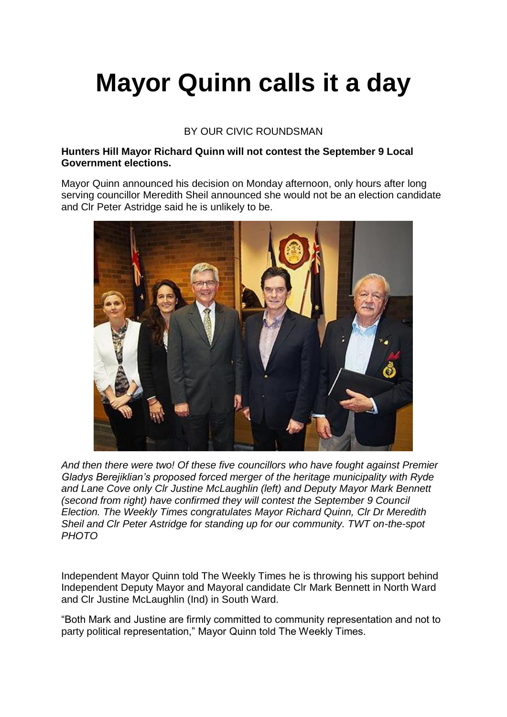## **Mayor Quinn calls it a day**

## BY OUR CIVIC ROUNDSMAN

## **Hunters Hill Mayor Richard Quinn will not contest the September 9 Local Government elections.**

Mayor Quinn announced his decision on Monday afternoon, only hours after long serving councillor Meredith Sheil announced she would not be an election candidate and Clr Peter Astridge said he is unlikely to be.



*And then there were two! Of these five councillors who have fought against Premier Gladys Berejiklian's proposed forced merger of the heritage municipality with Ryde and Lane Cove only Clr Justine McLaughlin (left) and Deputy Mayor Mark Bennett (second from right) have confirmed they will contest the September 9 Council Election. The Weekly Times congratulates Mayor Richard Quinn, Clr Dr Meredith Sheil and Clr Peter Astridge for standing up for our community. TWT on-the-spot PHOTO*

Independent Mayor Quinn told The Weekly Times he is throwing his support behind Independent Deputy Mayor and Mayoral candidate Clr Mark Bennett in North Ward and Clr Justine McLaughlin (Ind) in South Ward.

"Both Mark and Justine are firmly committed to community representation and not to party political representation," Mayor Quinn told The Weekly Times.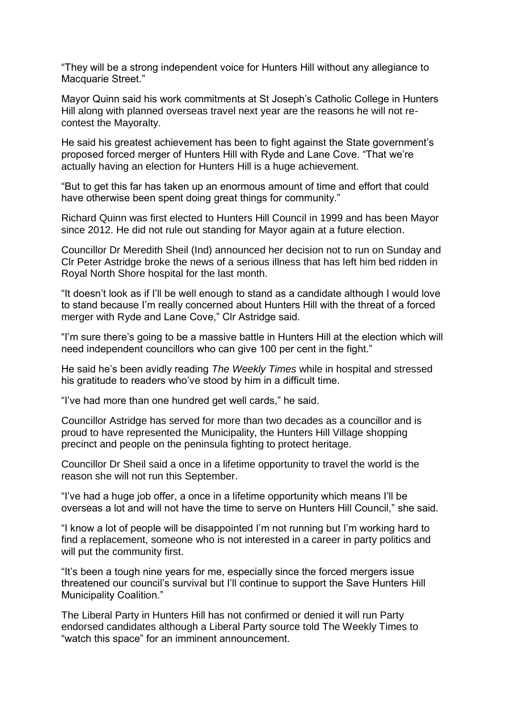"They will be a strong independent voice for Hunters Hill without any allegiance to Macquarie Street."

Mayor Quinn said his work commitments at St Joseph's Catholic College in Hunters Hill along with planned overseas travel next year are the reasons he will not recontest the Mayoralty.

He said his greatest achievement has been to fight against the State government's proposed forced merger of Hunters Hill with Ryde and Lane Cove. "That we're actually having an election for Hunters Hill is a huge achievement.

"But to get this far has taken up an enormous amount of time and effort that could have otherwise been spent doing great things for community."

Richard Quinn was first elected to Hunters Hill Council in 1999 and has been Mayor since 2012. He did not rule out standing for Mayor again at a future election.

Councillor Dr Meredith Sheil (Ind) announced her decision not to run on Sunday and Clr Peter Astridge broke the news of a serious illness that has left him bed ridden in Royal North Shore hospital for the last month.

"It doesn't look as if I'll be well enough to stand as a candidate although I would love to stand because I'm really concerned about Hunters Hill with the threat of a forced merger with Ryde and Lane Cove," Clr Astridge said.

"I'm sure there's going to be a massive battle in Hunters Hill at the election which will need independent councillors who can give 100 per cent in the fight."

He said he's been avidly reading *The Weekly Times* while in hospital and stressed his gratitude to readers who've stood by him in a difficult time.

"I've had more than one hundred get well cards," he said.

Councillor Astridge has served for more than two decades as a councillor and is proud to have represented the Municipality, the Hunters Hill Village shopping precinct and people on the peninsula fighting to protect heritage.

Councillor Dr Sheil said a once in a lifetime opportunity to travel the world is the reason she will not run this September.

"I've had a huge job offer, a once in a lifetime opportunity which means I'll be overseas a lot and will not have the time to serve on Hunters Hill Council," she said.

"I know a lot of people will be disappointed I'm not running but I'm working hard to find a replacement, someone who is not interested in a career in party politics and will put the community first.

"It's been a tough nine years for me, especially since the forced mergers issue threatened our council's survival but I'll continue to support the Save Hunters Hill Municipality Coalition."

The Liberal Party in Hunters Hill has not confirmed or denied it will run Party endorsed candidates although a Liberal Party source told The Weekly Times to "watch this space" for an imminent announcement.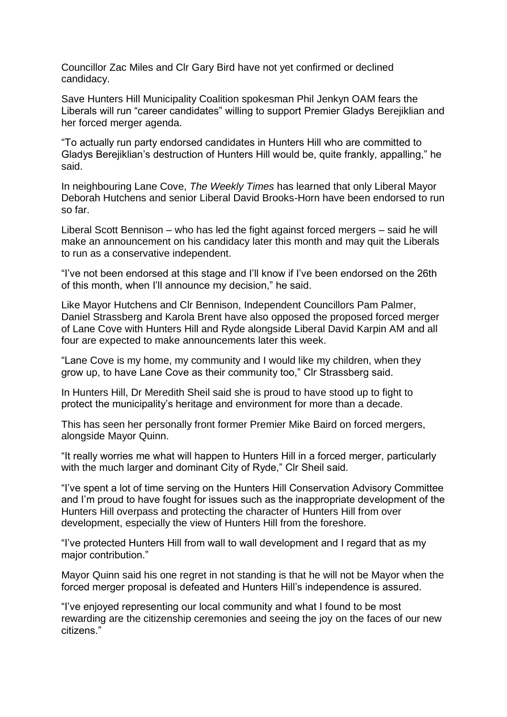Councillor Zac Miles and Clr Gary Bird have not yet confirmed or declined candidacy.

Save Hunters Hill Municipality Coalition spokesman Phil Jenkyn OAM fears the Liberals will run "career candidates" willing to support Premier Gladys Berejiklian and her forced merger agenda.

"To actually run party endorsed candidates in Hunters Hill who are committed to Gladys Berejiklian's destruction of Hunters Hill would be, quite frankly, appalling," he said.

In neighbouring Lane Cove, *The Weekly Times* has learned that only Liberal Mayor Deborah Hutchens and senior Liberal David Brooks-Horn have been endorsed to run so far.

Liberal Scott Bennison – who has led the fight against forced mergers – said he will make an announcement on his candidacy later this month and may quit the Liberals to run as a conservative independent.

"I've not been endorsed at this stage and I'll know if I've been endorsed on the 26th of this month, when I'll announce my decision," he said.

Like Mayor Hutchens and Clr Bennison, Independent Councillors Pam Palmer, Daniel Strassberg and Karola Brent have also opposed the proposed forced merger of Lane Cove with Hunters Hill and Ryde alongside Liberal David Karpin AM and all four are expected to make announcements later this week.

"Lane Cove is my home, my community and I would like my children, when they grow up, to have Lane Cove as their community too," Clr Strassberg said.

In Hunters Hill, Dr Meredith Sheil said she is proud to have stood up to fight to protect the municipality's heritage and environment for more than a decade.

This has seen her personally front former Premier Mike Baird on forced mergers, alongside Mayor Quinn.

"It really worries me what will happen to Hunters Hill in a forced merger, particularly with the much larger and dominant City of Ryde," Clr Sheil said.

"I've spent a lot of time serving on the Hunters Hill Conservation Advisory Committee and I'm proud to have fought for issues such as the inappropriate development of the Hunters Hill overpass and protecting the character of Hunters Hill from over development, especially the view of Hunters Hill from the foreshore.

"I've protected Hunters Hill from wall to wall development and I regard that as my major contribution."

Mayor Quinn said his one regret in not standing is that he will not be Mayor when the forced merger proposal is defeated and Hunters Hill's independence is assured.

"I've enjoyed representing our local community and what I found to be most rewarding are the citizenship ceremonies and seeing the joy on the faces of our new citizens."